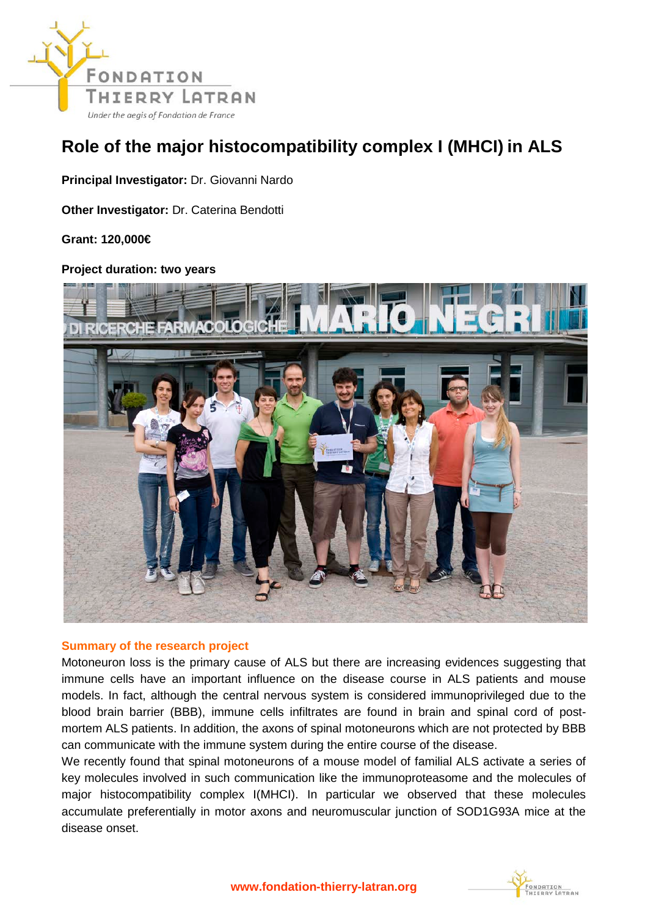

## **Role of the major histocompatibility complex I (MHCI) in ALS**

## **Principal Investigator:** Dr. Giovanni Nardo

**Other Investigator:** Dr. Caterina Bendotti

**Grant: 120,000€** 

## **Project duration: two years**



## **Summary of the research project**

Motoneuron loss is the primary cause of ALS but there are increasing evidences suggesting that immune cells have an important influence on the disease course in ALS patients and mouse models. In fact, although the central nervous system is considered immunoprivileged due to the blood brain barrier (BBB), immune cells infiltrates are found in brain and spinal cord of postmortem ALS patients. In addition, the axons of spinal motoneurons which are not protected by BBB can communicate with the immune system during the entire course of the disease.

We recently found that spinal motoneurons of a mouse model of familial ALS activate a series of key molecules involved in such communication like the immunoproteasome and the molecules of major histocompatibility complex I(MHCI). In particular we observed that these molecules accumulate preferentially in motor axons and neuromuscular junction of SOD1G93A mice at the disease onset.